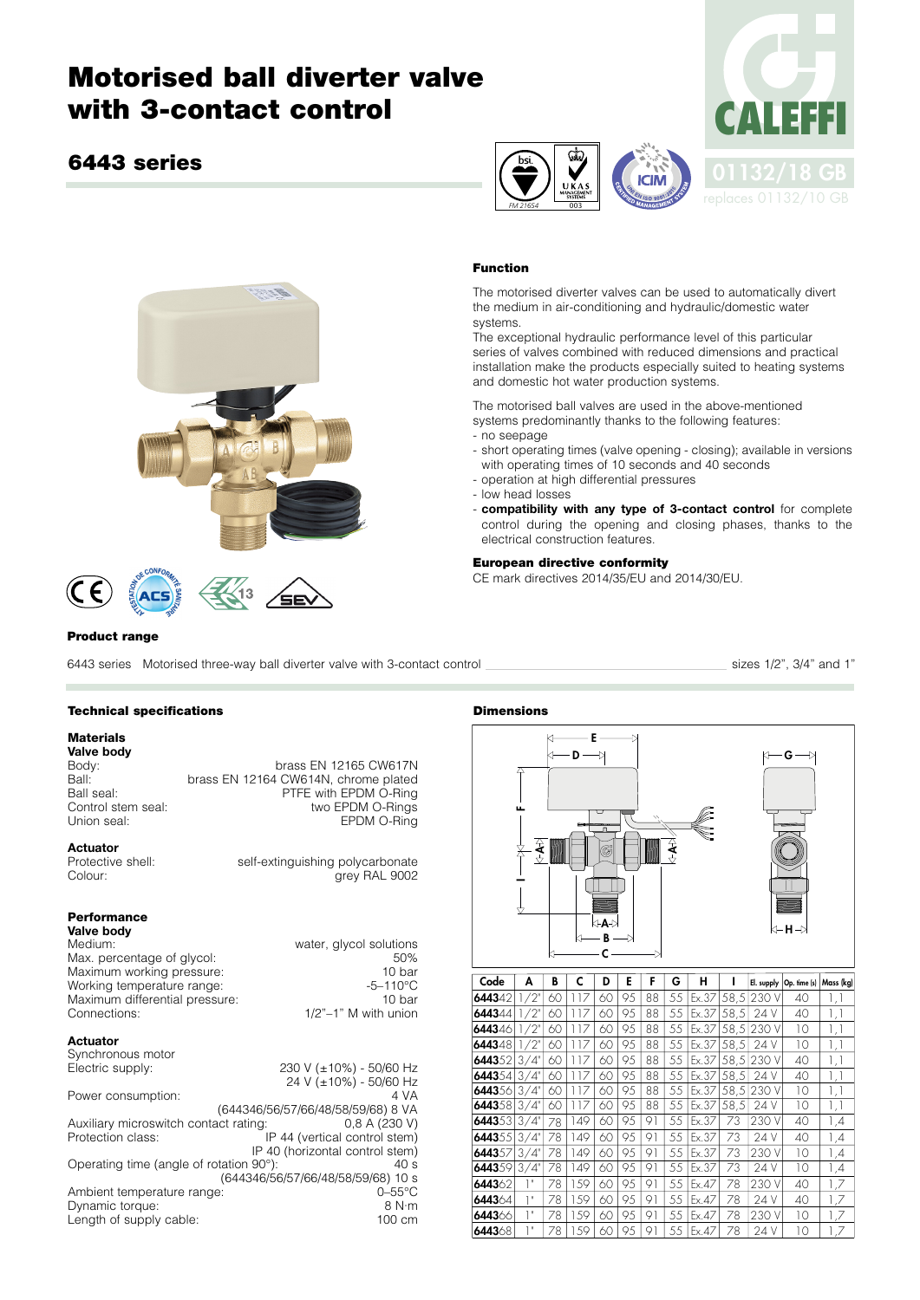# **Motorised ball diverter valve with 3-contact control**

### **6443 series**





#### **Product range**

6443 series Motorised three-way ball diverter valve with 3-contact control sizes 1/2", 3/4" and 1"

EPDM O-Ring

arev RAL 9002

#### **Technical specifications**

#### **Materials**

**Valve body** Body:<br>Ball: brass EN 12164 CW614N, chrome plated Ball: brass EN 12164 CW614N, chrome plated<br>Ball seal: PTFE with EPDM O-Ring Ball seal: PTFE with EPDM O-Ring Control stem seal:<br>
Linion seal:<br>
FEDM O-Rings<br>
FEDM O-Rings

## **Actuator**<br>Protective shell:

Protective shell:<br>
Colour: self-extinguishing polycarbonate<br>
colour: arev RAL 9002

#### **Performance**

| Valve body                     |                             |  |
|--------------------------------|-----------------------------|--|
| Medium:                        | water, glycol solutions     |  |
| Max. percentage of glycol:     | 50%                         |  |
| Maximum working pressure:      | 10 bar                      |  |
| Working temperature range:     | $-5 - 110^{\circ}$ C        |  |
| Maximum differential pressure: | 10 <sub>bar</sub>           |  |
| Connections:                   | $1/2$ " $-1$ " M with union |  |

#### **Actuator**

| Synchronous motor                       |                                    |
|-----------------------------------------|------------------------------------|
| Electric supply:                        | 230 V (±10%) - 50/60 Hz            |
|                                         | 24 V (±10%) - 50/60 Hz             |
| Power consumption:                      | 4 VA                               |
|                                         | (644346/56/57/66/48/58/59/68) 8 VA |
| Auxiliary microswitch contact rating:   | 0.8 A (230 V)                      |
| Protection class:                       | IP 44 (vertical control stem)      |
|                                         | IP 40 (horizontal control stem)    |
| Operating time (angle of rotation 90°): | 40 s                               |
|                                         | (644346/56/57/66/48/58/59/68) 10 s |
| Ambient temperature range:              | $0 - 55$ °C                        |
| Dynamic torque:                         | 8 N·m                              |
| Length of supply cable:                 | 100 cm                             |

#### **Dimensions**





#### **Function**

*FM 21654* 003

The motorised diverter valves can be used to automatically divert the medium in air-conditioning and hydraulic/domestic water systems.

**ICIM** 

The exceptional hydraulic performance level of this particular series of valves combined with reduced dimensions and practical installation make the products especially suited to heating systems and domestic hot water production systems.

The motorised ball valves are used in the above-mentioned systems predominantly thanks to the following features:

- no seepage
- short operating times (valve opening closing); available in versions with operating times of 10 seconds and 40 seconds
- operation at high differential pressures
- low head losses
- **compatibility with any type of 3-contact control** for complete control during the opening and closing phases, thanks to the electrical construction features.

#### **European directive conformity**

CE mark directives 2014/35/EU and 2014/30/EU.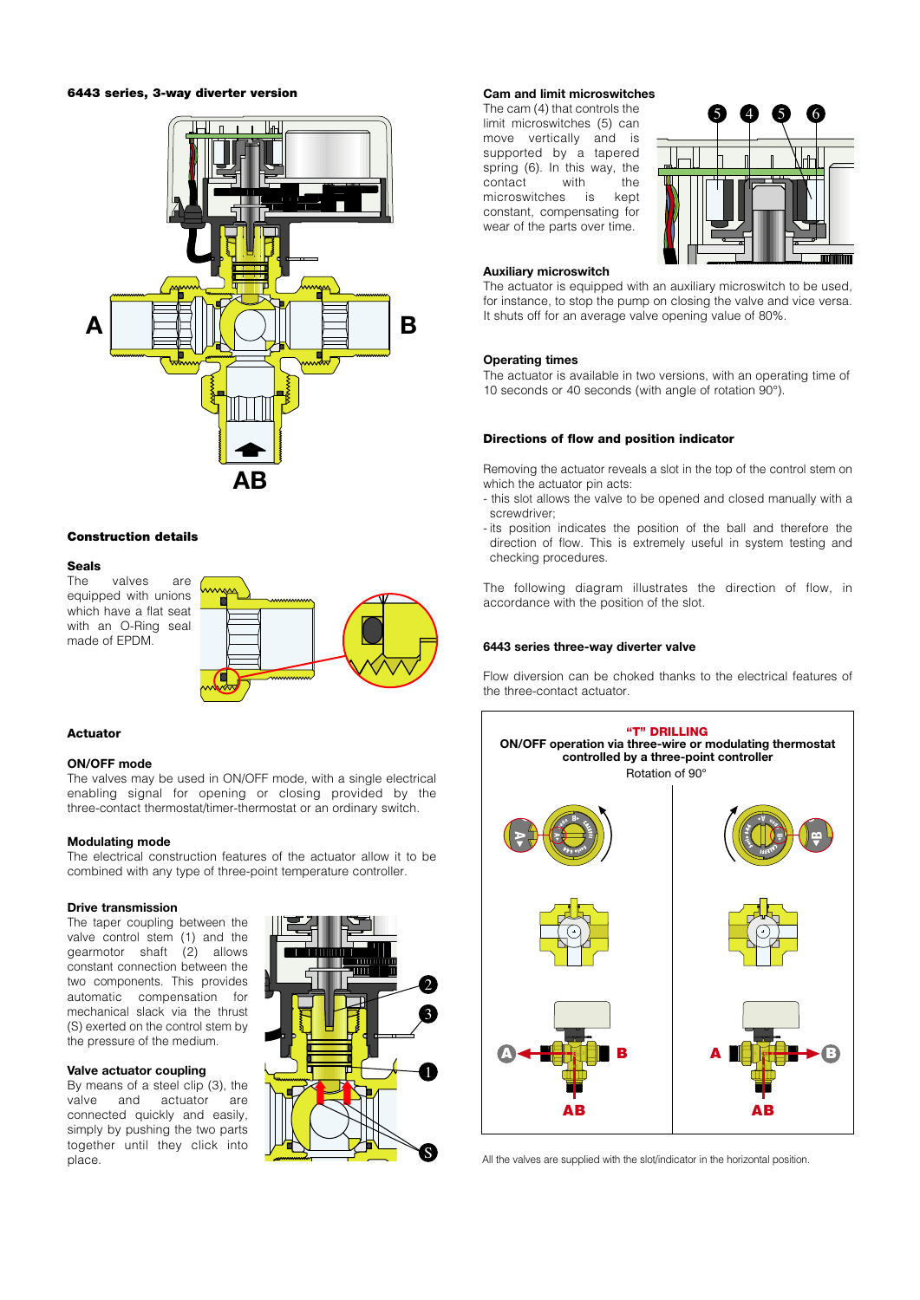#### **6443 series, 3-way diverter version**



#### **Construction details**

## **Seals**

valves are equipped with unions which have a flat seat with an O-Ring seal made of EPDM.



#### **Actuator**

#### **ON/OFF mode**

The valves may be used in ON/OFF mode, with a single electrical enabling signal for opening or closing provided by the three-contact thermostat/timer-thermostat or an ordinary switch.

#### **Modulating mode**

The electrical construction features of the actuator allow it to be combined with any type of three-point temperature controller.

#### **Drive transmission**

The taper coupling between the valve control stem (1) and the gearmotor shaft (2) allows constant connection between the two components. This provides automatic compensation for mechanical slack via the thrust (S) exerted on the control stem by the pressure of the medium.

#### **Valve actuator coupling**

By means of a steel clip (3), the valve and actuator are valve and actuator are connected quickly and easily, simply by pushing the two parts together until they click into place.



#### **Cam and limit microswitches**

The cam (4) that controls the limit microswitches (5) can move vertically and is supported by a tapered spring (6). In this way, the contact with the contact with the<br>microswitches is kept microswitches is constant, compensating for wear of the parts over time.



#### **Auxiliary microswitch**

The actuator is equipped with an auxiliary microswitch to be used, for instance, to stop the pump on closing the valve and vice versa. It shuts off for an average valve opening value of 80%.

#### **Operating times**

The actuator is available in two versions, with an operating time of 10 seconds or 40 seconds (with angle of rotation 90°).

#### **Directions of flow and position indicator**

Removing the actuator reveals a slot in the top of the control stem on which the actuator pin acts:

- this slot allows the valve to be opened and closed manually with a screwdriver;
- its position indicates the position of the ball and therefore the direction of flow. This is extremely useful in system testing and checking procedures.

The following diagram illustrates the direction of flow, in accordance with the position of the slot.

#### **6443 series three-way diverter valve**

Flow diversion can be choked thanks to the electrical features of the three-contact actuator.



All the valves are supplied with the slot/indicator in the horizontal position.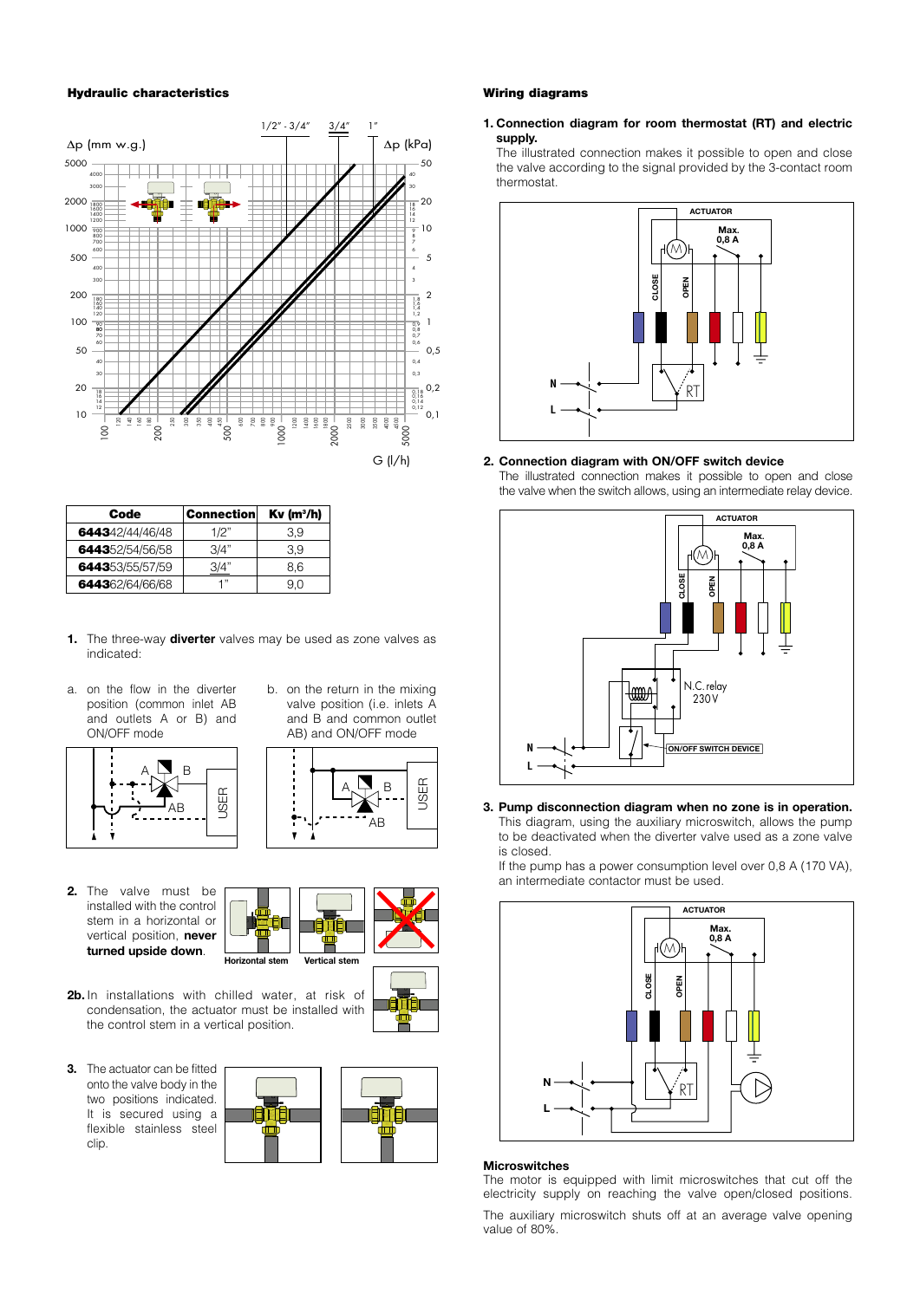#### **Hydraulic characteristics**



| Code            | <b>Connection</b> | $Kv$ (m <sup>3</sup> /h) |
|-----------------|-------------------|--------------------------|
| 644342/44/46/48 | 1/2"              | 3.9                      |
| 644352/54/56/58 | 3/4"              | 3.9                      |
| 644353/55/57/59 | 3/4"              | 8.6                      |
| 644362/64/66/68 | יי 1              | 9.0                      |

- **1.** The three-way **diverter** valves may be used as zone valves as indicated:
- a. on the flow in the diverter position (common inlet AB and outlets A or B) and ON/OFF mode



b. on the return in the mixing valve position (i.e. inlets A and B and common outlet AB) and ON/OFF mode



**2.** The valve must be installed with the control stem in a horizontal or vertical position, **never turned upside down**.





**A B**

- **2b.** In installations with chilled water, at risk of condensation, the actuator must be installed with the control stem in a vertical position.
- **3.** The actuator can be fitted onto the valve body in the two positions indicated. It is secured using a flexible stainless steel clip.





**1. Connection diagram for room thermostat (RT) and electric supply.**

The illustrated connection makes it possible to open and close the valve according to the signal provided by the 3-contact room thermostat.



#### **2. Connection diagram with ON/OFF switch device**

The illustrated connection makes it possible to open and close the valve when the switch allows, using an intermediate relay device.



**3. Pump disconnection diagram when no zone is in operation.** This diagram, using the auxiliary microswitch, allows the pump to be deactivated when the diverter valve used as a zone valve is closed.

If the pump has a power consumption level over 0,8 A (170 VA), an intermediate contactor must be used.



#### **Microswitches**

The motor is equipped with limit microswitches that cut off the electricity supply on reaching the valve open/closed positions.

The auxiliary microswitch shuts off at an average valve opening value of 80%.